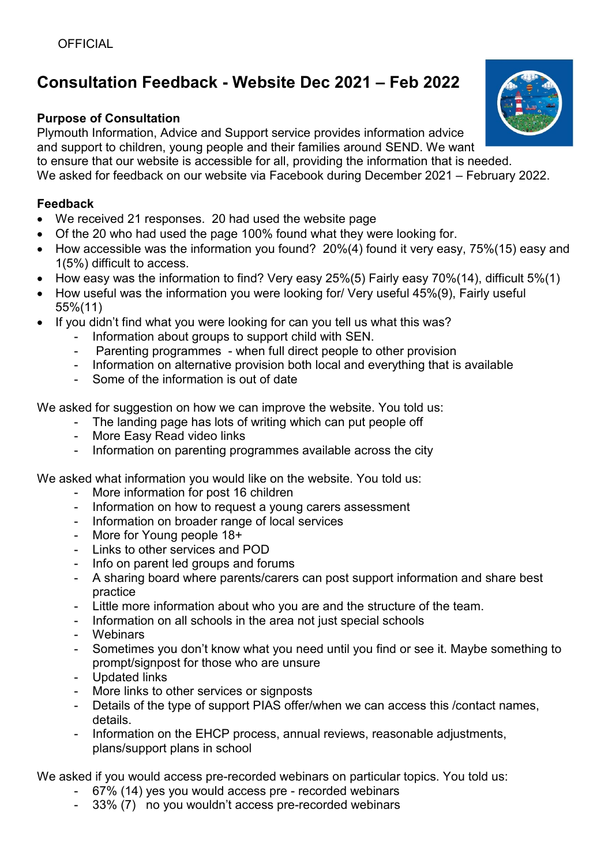# **Consultation Feedback - Website Dec 2021 – Feb 2022**

### **Purpose of Consultation**

Plymouth Information, Advice and Support service provides information advice and support to children, young people and their families around SEND. We want to ensure that our website is accessible for all, providing the information that is needed. We asked for feedback on our website via Facebook during December 2021 – February 2022.

#### **Feedback**

- We received 21 responses. 20 had used the website page
- Of the 20 who had used the page 100% found what they were looking for.
- How accessible was the information you found? 20%(4) found it very easy, 75%(15) easy and 1(5%) difficult to access.
- How easy was the information to find? Very easy 25%(5) Fairly easy 70%(14), difficult 5%(1)
- How useful was the information you were looking for/ Very useful 45%(9), Fairly useful 55%(11)
- If you didn't find what you were looking for can you tell us what this was?
	- Information about groups to support child with SEN.
	- Parenting programmes when full direct people to other provision
	- Information on alternative provision both local and everything that is available
	- Some of the information is out of date

We asked for suggestion on how we can improve the website. You told us:

- The landing page has lots of writing which can put people off
- More Easy Read video links
- Information on parenting programmes available across the city

We asked what information you would like on the website. You told us:

- More information for post 16 children
- Information on how to request a young carers assessment
- Information on broader range of local services
- More for Young people 18+
- Links to other services and POD
- Info on parent led groups and forums
- A sharing board where parents/carers can post support information and share best practice
- Little more information about who you are and the structure of the team.
- Information on all schools in the area not just special schools
- Webinars
- Sometimes you don't know what you need until you find or see it. Maybe something to prompt/signpost for those who are unsure
- Updated links
- More links to other services or signposts
- Details of the type of support PIAS offer/when we can access this /contact names, details.
- Information on the EHCP process, annual reviews, reasonable adjustments, plans/support plans in school

We asked if you would access pre-recorded webinars on particular topics. You told us:

- 67% (14) yes you would access pre recorded webinars
- 33% (7) no you wouldn't access pre-recorded webinars